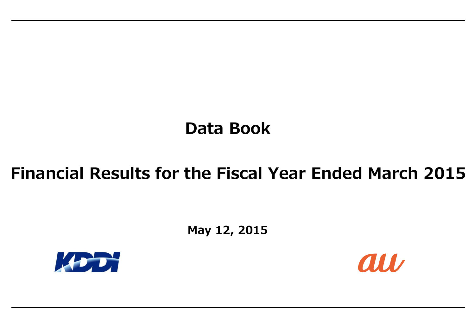# **Data Book**

**May 12, 2015**





# **Financial Results for the Fiscal Year Ended March 2015**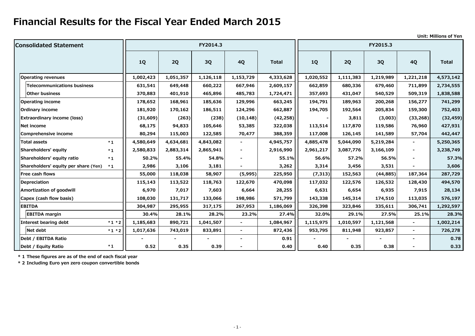**Unit: Millions of Yen**

| <b>Consolidated Statement</b>                |           |                | FY2014.3  |                |              |           |                | FY2015.3  |                |              |
|----------------------------------------------|-----------|----------------|-----------|----------------|--------------|-----------|----------------|-----------|----------------|--------------|
|                                              | <b>1Q</b> | 2Q             | 3Q        | <b>4Q</b>      | <b>Total</b> | <b>1Q</b> | 2Q             | 3Q        | <b>4Q</b>      | <b>Total</b> |
| <b>Operating revenues</b>                    | 1,002,423 | 1,051,357      | 1,126,118 | 1,153,729      | 4,333,628    | 1,020,552 | 1,111,383      | 1,219,989 | 1,221,218      | 4,573,142    |
| <b>Telecommunications business</b>           | 631,541   | 649,448        | 660,222   | 667,946        | 2,609,157    | 662,859   | 680,336        | 679,460   | 711,899        | 2,734,555    |
| <b>Other business</b>                        | 370,883   | 401,910        | 465,896   | 485,783        | 1,724,471    | 357,693   | 431,047        | 540,529   | 509,319        | 1,838,588    |
| <b>Operating income</b>                      | 178,652   | 168,961        | 185,636   | 129,996        | 663,245      | 194,791   | 189,963        | 200,268   | 156,277        | 741,299      |
| <b>Ordinary income</b>                       | 181,920   | 170,162        | 186,511   | 124,296        | 662,887      | 194,705   | 192,564        | 205,834   | 159,300        | 752,403      |
| <b>Extraordinary income (loss)</b>           | (31,609)  | (263)          | (238)     | (10, 148)      | (42, 258)    |           | 3,811          | (3,003)   | (33, 268)      | (32, 459)    |
| Net income                                   | 68,175    | 94,833         | 105,646   | 53,385         | 322,038      | 113,514   | 117,870        | 119,586   | 76,960         | 427,931      |
| <b>Comprehensive income</b>                  | 80,294    | 115,003        | 122,585   | 70,477         | 388,359      | 117,008   | 126,145        | 141,589   | 57,704         | 442,447      |
| <b>Total assets</b><br>$*1$                  | 4,580,649 | 4,634,681      | 4,843,082 |                | 4,945,757    | 4,885,478 | 5,044,090      | 5,219,284 |                | 5,250,365    |
| Shareholders' equity<br>$*1$                 | 2,580,833 | 2,883,314      | 2,865,941 |                | 2,916,990    | 2,961,217 | 3,087,776      | 3,166,109 | $\sim$         | 3,238,749    |
| Shareholders' equity ratio<br>$*1$           | 50.2%     | 55.4%          | 54.8%     |                | 55.1%        | 56.6%     | 57.2%          | 56.5%     |                | 57.3%        |
| Shareholders' equity per share (Yen)<br>$*1$ | 2,986     | 3,106          | 3,181     |                | 3,262        | 3,314     | 3,456          | 3,531     |                | 3,606        |
| Free cash flows                              | 55,000    | 118,038        | 58,907    | (5,995)        | 225,950      | (7, 313)  | 152,563        | (44, 885) | 187,364        | 287,729      |
| <b>Depreciation</b>                          | 115,143   | 113,522        | 118,763   | 122,670        | 470,098      | 117,032   | 122,576        | 126,532   | 128,430        | 494,570      |
| <b>Amortization of goodwill</b>              | 6,970     | 7,017          | 7,603     | 6,664          | 28,255       | 6,631     | 6,654          | 6,935     | 7,915          | 28,134       |
| Capex (cash flow basis)                      | 108,030   | 131,717        | 133,066   | 198,986        | 571,799      | 143,338   | 145,314        | 174,510   | 113,035        | 576,197      |
| <b>EBITDA</b>                                | 304,987   | 295,955        | 317,175   | 267,953        | 1,186,069    | 326,398   | 323,846        | 335,611   | 306,741        | 1,292,597    |
| <b>EBITDA</b> margin                         | 30.4%     | 28.1%          | 28.2%     | 23.2%          | 27.4%        | 32.0%     | 29.1%          | 27.5%     | 25.1%          | 28.3%        |
| Interest bearing debt<br>$*1 * 2$            | 1,185,683 | 890,721        | 1,041,507 | ۰.             | 1,084,967    | 1,115,975 | 1,010,597      | 1,121,568 | $\blacksquare$ | 1,002,214    |
| Net debt<br>$*1 * 2$                         | 1,017,636 | 743,019        | 833,891   | ۰.             | 872,436      | 953,795   | 811,948        | 923,857   | $\blacksquare$ | 726,278      |
| Debt / EBITDA Ratio                          |           | $\blacksquare$ | $\sim$    | $\blacksquare$ | 0.91         |           | $\blacksquare$ |           | $\blacksquare$ | 0.78         |
| $*1$<br>Debt / Equity Ratio                  | 0.52      | 0.35           | 0.39      | $\blacksquare$ | 0.40         | 0.40      | 0.35           | 0.38      |                | 0.33         |

**\* 1 These figures are as of the end of each fiscal year**

**\* 2 Including Euro yen zero coupon convertible bonds**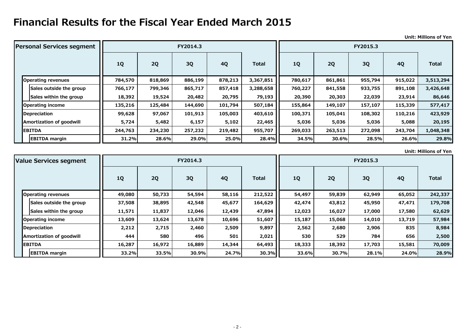### **Unit: Millions of Yen**

### **Unit: Millions of Yen**

| <b>Personal Services segment</b> |           |         | FY2014.3  |           |              | FY2015.3  |         |         |           |              |
|----------------------------------|-----------|---------|-----------|-----------|--------------|-----------|---------|---------|-----------|--------------|
|                                  | <b>1Q</b> | 2Q      | <b>3Q</b> | <b>4Q</b> | <b>Total</b> | <b>1Q</b> | 2Q      | 3Q      | <b>4Q</b> | <b>Total</b> |
| <b>Operating revenues</b>        | 784,570   | 818,869 | 886,199   | 878,213   | 3,367,851    | 780,617   | 861,861 | 955,794 | 915,022   | 3,513,294    |
| Sales outside the group          | 766,177   | 799,346 | 865,717   | 857,418   | 3,288,658    | 760,227   | 841,558 | 933,755 | 891,108   | 3,426,648    |
| Sales within the group           | 18,392    | 19,524  | 20,482    | 20,795    | 79,193       | 20,390    | 20,303  | 22,039  | 23,914    | 86,646       |
| <b>Operating income</b>          | 135,216   | 125,484 | 144,690   | 101,794   | 507,184      | 155,864   | 149,107 | 157,107 | 115,339   | 577,417      |
| Depreciation                     | 99,628    | 97,067  | 101,913   | 105,003   | 403,610      | 100,371   | 105,041 | 108,302 | 110,216   | 423,929      |
| <b>Amortization of goodwill</b>  | 5,724     | 5,482   | 6,157     | 5,102     | 22,465       | 5,036     | 5,036   | 5,036   | 5,088     | 20,195       |
| <b>EBITDA</b>                    | 244,763   | 234,230 | 257,232   | 219,482   | 955,707      | 269,033   | 263,513 | 272,098 | 243,704   | 1,048,348    |
| <b>EBITDA</b> margin             | 31.2%     | 28.6%   | 29.0%     | 25.0%     | 28.4%        | 34.5%     | 30.6%   | 28.5%   | 26.6%     | 29.8%        |

| <b>Value Services segment</b>   |           |        | FY2014.3 |           |              | FY2015.3  |           |        |           |              |
|---------------------------------|-----------|--------|----------|-----------|--------------|-----------|-----------|--------|-----------|--------------|
|                                 | <b>1Q</b> | 2Q     | 3Q       | <b>4Q</b> | <b>Total</b> | <b>1Q</b> | <b>2Q</b> | 3Q     | <b>4Q</b> | <b>Total</b> |
| <b>Operating revenues</b>       | 49,080    | 50,733 | 54,594   | 58,116    | 212,522      | 54,497    | 59,839    | 62,949 | 65,052    | 242,337      |
| Sales outside the group         | 37,508    | 38,895 | 42,548   | 45,677    | 164,629      | 42,474    | 43,812    | 45,950 | 47,471    | 179,708      |
| Sales within the group          | 11,571    | 11,837 | 12,046   | 12,439    | 47,894       | 12,023    | 16,027    | 17,000 | 17,580    | 62,629       |
| Operating income                | 13,609    | 13,624 | 13,678   | 10,696    | 51,607       | 15,187    | 15,068    | 14,010 | 13,719    | 57,984       |
| Depreciation                    | 2,212     | 2,715  | 2,460    | 2,509     | 9,897        | 2,562     | 2,680     | 2,906  | 835       | 8,984        |
| <b>Amortization of goodwill</b> | 444       | 580    | 496      | 501       | 2,021        | 530       | 529       | 784    | 656       | 2,500        |
| <b>EBITDA</b>                   | 16,287    | 16,972 | 16,889   | 14,344    | 64,493       | 18,333    | 18,392    | 17,703 | 15,581    | 70,009       |
| <b>EBITDA margin</b>            | 33.2%     | 33.5%  | 30.9%    | 24.7%     | 30.3%        | 33.6%     | 30.7%     | 28.1%  | 24.0%     | 28.9%        |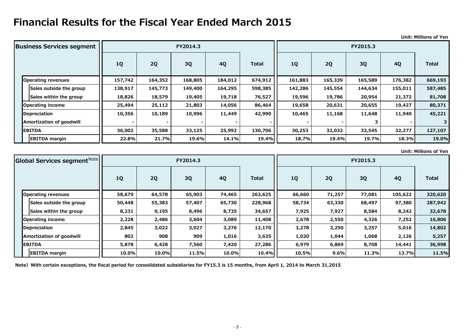**Unit: Millions of Yen**

**Unit: Millions of Yen**

| <b>Business Services segment</b> |         |         | FY2014.3  |           |              | FY2015.3  |         |         |           |              |
|----------------------------------|---------|---------|-----------|-----------|--------------|-----------|---------|---------|-----------|--------------|
|                                  | 1Q      | 2Q      | <b>3Q</b> | <b>4Q</b> | <b>Total</b> | <b>1Q</b> | 2Q      | 3Q      | <b>4Q</b> | <b>Total</b> |
| <b>Operating revenues</b>        | 157,742 | 164,352 | 168,805   | 184,012   | 674,912      | 161,883   | 165,339 | 165,589 | 176,382   | 669,193      |
| Sales outside the group          | 138,917 | 145,773 | 149,400   | 164,295   | 598,385      | 142,286   | 145,554 | 144,634 | 155,011   | 587,485      |
| Sales within the group           | 18,826  | 18,579  | 19,405    | 19,718    | 76,527       | 19,596    | 19,786  | 20,954  | 21,372    | 81,708       |
| <b>Operating income</b>          | 25,494  | 25,112  | 21,803    | 14,056    | 86,464       | 19,658    | 20,631  | 20,655  | 19,427    | 80,371       |
| Depreciation                     | 10,356  | 10,189  | 10,996    | 11,449    | 42,990       | 10,465    | 11,168  | 11,648  | 11,940    | 45,221       |
| <b>Amortization of goodwill</b>  |         |         |           |           |              |           |         |         |           |              |
| <b>EBITDA</b>                    | 36,002  | 35,588  | 33,125    | 25,992    | 130,706      | 30,253    | 32,032  | 32,545  | 32,277    | 127,107      |
| <b>EBITDA margin</b>             | 22.8%   | 21.7%   | 19.6%     | 14.1%     | 19.4%        | 18.7%     | 19.4%   | 19.7%   | 18.3%     | 19.0%        |

| Global Services segment <sup>Note</sup> |        |        | FY2014.3  |           |              | FY2015.3  |        |        |           |              |
|-----------------------------------------|--------|--------|-----------|-----------|--------------|-----------|--------|--------|-----------|--------------|
|                                         | 1Q     | 2Q     | <b>3Q</b> | <b>4Q</b> | <b>Total</b> | <b>1Q</b> | 2Q     | 3Q     | <b>4Q</b> | <b>Total</b> |
| <b>Operating revenues</b>               | 58,679 | 64,578 | 65,903    | 74,465    | 263,625      | 66,660    | 71,257 | 77,081 | 105,622   | 320,620      |
| Sales outside the group                 | 50,448 | 55,383 | 57,407    | 65,730    | 228,968      | 58,734    | 63,330 | 68,497 | 97,380    | 287,942      |
| Sales within the group                  | 8,231  | 9,195  | 8,496     | 8,735     | 34,657       | 7,925     | 7,927  | 8,584  | 8,242     | 32,678       |
| Operating income                        | 2,228  | 2,486  | 3,604     | 3,089     | 11,408       | 2,678     | 2,550  | 4,326  | 7,252     | 16,806       |
| Depreciation                            | 2,845  | 3,022  | 3,027     | 3,276     | 12,170       | 3,278     | 3,250  | 3,257  | 5,016     | 14,802       |
| <b>Amortization of goodwill</b>         | 802    | 908    | 909       | 1,016     | 3,635        | 1,020     | 1,044  | 1,068  | 2,126     | 5,257        |
| <b>EBITDA</b>                           | 5,878  | 6,428  | 7,560     | 7,420     | 27,286       | 6,979     | 6,869  | 8,708  | 14,441    | 36,998       |
| <b>EBITDA margin</b>                    | 10.0%  | 10.0%  | 11.5%     | 10.0%     | 10.4%        | 10.5%     | 9.6%   | 11.3%  | 13.7%     | 11.5%        |

Note) With certain exceptions, the fiscal period for consolidated subsidiaries for FY15.3 is 15 months, from April 1, 2014 to March 31,2015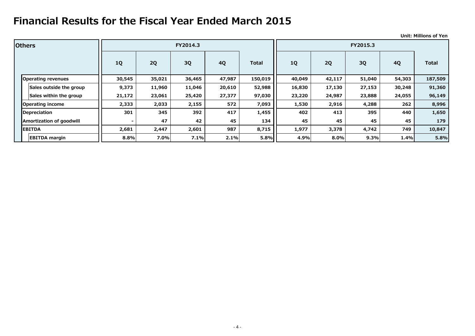|                           |           |        |          |           |              |           |        |           |           | <b>Unit: Millions of Yen</b> |  |
|---------------------------|-----------|--------|----------|-----------|--------------|-----------|--------|-----------|-----------|------------------------------|--|
| <b>lOthers</b>            |           |        | FY2014.3 |           |              |           |        | FY2015.3  |           |                              |  |
|                           | <b>1Q</b> | 2Q     | 3Q       | <b>4Q</b> | <b>Total</b> | <b>1Q</b> | 2Q     | <b>3Q</b> | <b>4Q</b> | <b>Total</b>                 |  |
| <b>Operating revenues</b> | 30,545    | 35,021 | 36,465   | 47,987    | 150,019      | 40,049    | 42,117 | 51,040    | 54,303    | 187,509                      |  |
| Sales outside the group   | 9,373     | 11,960 | 11,046   | 20,610    | 52,988       | 16,830    | 17,130 | 27,153    | 30,248    | 91,360                       |  |
| Sales within the group    | 21,172    | 23,061 | 25,420   | 27,377    | 97,030       | 23,220    | 24,987 | 23,888    | 24,055    | 96,149                       |  |
| <b>Operating income</b>   | 2,333     | 2,033  | 2,155    | 572       | 7,093        | 1,530     | 2,916  | 4,288     | 262       | 8,996                        |  |
| Depreciation              | 301       | 345    | 392      | 417       | 1,455        | 402       | 413    | 395       | 440       | 1,650                        |  |
| Amortization of goodwill  | $\sim$    | 47     | 42       | 45        | 134          | 45        | 45     | 45        | 45        | 179                          |  |
| <b>EBITDA</b>             | 2,681     | 2,447  | 2,601    | 987       | 8,715        | 1,977     | 3,378  | 4,742     | 749       | 10,847                       |  |
| <b>EBITDA</b> margin      | 8.8%      | 7.0%   | 7.1%     | 2.1%      | 5.8%         | 4.9%      | 8.0%   | 9.3%      | 1.4%      | 5.8%                         |  |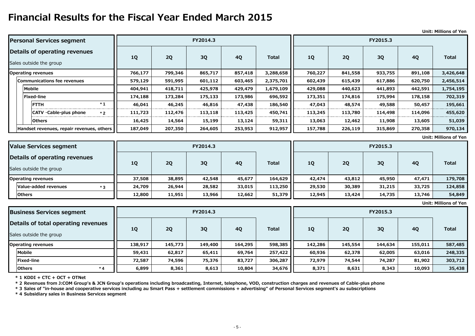### **Unit: Millions of Yen**

**Unit: Millions of Yen**

| <b>Personal Services segment</b>                         |         |           | FY2014.3 |           |              | FY2015.3  |         |         |           |              |
|----------------------------------------------------------|---------|-----------|----------|-----------|--------------|-----------|---------|---------|-----------|--------------|
| Details of operating revenues<br>Sales outside the group | 1Q      | <b>2Q</b> | 3Q       | <b>4Q</b> | <b>Total</b> | <b>1Q</b> | 2Q      | 3Q      | <b>4Q</b> | <b>Total</b> |
| <b>Operating revenues</b>                                | 766,177 | 799,346   | 865,717  | 857,418   | 3,288,658    | 760,227   | 841,558 | 933,755 | 891,108   | 3,426,648    |
| <b>Communications fee revenues</b>                       | 579,129 | 591,995   | 601,112  | 603,465   | 2,375,701    | 602,439   | 615,439 | 617,886 | 620,750   | 2,456,514    |
| <b>Mobile</b>                                            | 404,941 | 418,711   | 425,978  | 429,479   | 1,679,109    | 429,088   | 440,623 | 441,893 | 442,591   | 1,754,195    |
| Fixed-line                                               | 174,188 | 173,284   | 175,133  | 173,986   | 696,592      | 173,351   | 174,816 | 175,994 | 178,158   | 702,319      |
| $*1$<br><b>FTTH</b>                                      | 46,041  | 46,245    | 46,816   | 47,438    | 186,540      | 47,043    | 48,574  | 49,588  | 50,457    | 195,661      |
| $ CATV \cdot Cable$ -plus phone<br>$*2$                  | 111,723 | 112,476   | 113,118  | 113,425   | 450,741      | 113,245   | 113,780 | 114,498 | 114,096   | 455,620      |
| <b>Others</b>                                            | 16,425  | 14,564    | 15,199   | 13,124    | 59,311       | 13,063    | 12,462  | 11,908  | 13,605    | 51,039       |
| Handset revenues, repair revenues, others                | 187,049 | 207,350   | 264,605  | 253,953   | 912,957      | 157,788   | 226,119 | 315,869 | 270,358   | 970,134      |

**Unit: Millions of Yen**

| Value Services segment        |           |        | FY2014.3 |        |              | FY2015.3 |        |        |           |              |
|-------------------------------|-----------|--------|----------|--------|--------------|----------|--------|--------|-----------|--------------|
| Details of operating revenues |           |        |          |        |              |          |        |        |           |              |
| Sales outside the group       | <b>1Q</b> | 2Q     | 3Q       | 4Q     | <b>Total</b> | 1Q       | 2Q     | 3Q     | <b>4Q</b> | <b>Total</b> |
| <b>Operating revenues</b>     | 37,508    | 38,895 | 42,548   | 45,677 | 164,629      | 42,474   | 43,812 | 45,950 | 47,471    | 179,708      |
| Value-added revenues<br>$*3$  | 24,709    | 26,944 | 28,582   | 33,015 | 113,250      | 29,530   | 30,389 | 31,215 | 33,725    | 124,858      |
| <b>Others</b>                 | 12,800    | 11,951 | 13,966   | 12,662 | 51,379       | 12,945   | 13,424 | 14,735 | 13,746    | 54,849       |

**\* 1 KDDI + CTC + OCT + OTNet**

| <b>Business Services segment</b>    |           | FY2014.3 |         |           |              |         |         | FY2015.3 |         |              |
|-------------------------------------|-----------|----------|---------|-----------|--------------|---------|---------|----------|---------|--------------|
| Details of total operating revenues |           |          |         |           | <b>Total</b> |         | 2Q      | 3Q       | 4Q      | <b>Total</b> |
| Sales outside the group             | <b>1Q</b> | 2Q       | 3Q      | <b>4Q</b> |              | 1Q      |         |          |         |              |
| <b>Operating revenues</b>           | 138,917   | 145,773  | 149,400 | 164,295   | 598,385      | 142,286 | 145,554 | 144,634  | 155,011 | 587,485      |
| Mobile                              | 59,431    | 62,817   | 65,411  | 69,764    | 257,422      | 60,936  | 62,378  | 62,005   | 63,016  | 248,335      |
| <b>Fixed-line</b>                   | 72,587    | 74,596   | 75,376  | 83,727    | 306,287      | 72,979  | 74,544  | 74,287   | 81,902  | 303,712      |
| <b>Others</b><br>$*$ $\Lambda$      | 6,899     | 8,361    | 8,613   | 10,804    | 34,676       | 8,371   | 8,631   | 8,343    | 10,093  | 35,438       |

**\* 2 Revenues from J:COM Group's & JCN Group's operations including broadcasting, Internet, telephone, VOD, construction charges and revenues of Cable-plus phone** 

**\* 3 Sales of "in-house and cooperative services including au Smart Pass + settlement commissions + advertising" of Personal Services segment's au subscriptions**

**\* 4 Subsidiary sales in Business Services segment**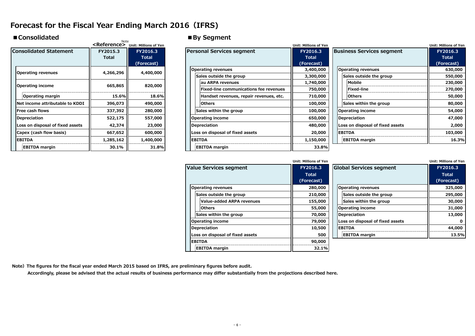## **Forecast for the Fiscal Year Ending March 2016(IFRS)**

Note

### ■ Consolidated ■By Segment

|                                  | <reference></reference>  | <b>Unit: Millions of Yen</b>           |                                                                   | <b>Unit: Millions of Yen</b>           |
|----------------------------------|--------------------------|----------------------------------------|-------------------------------------------------------------------|----------------------------------------|
| <b>Consolidated Statement</b>    | FY2015.3<br><b>Total</b> | FY2016.3<br><b>Total</b><br>(Forecast) | <b>Personal Services segment</b>                                  | FY2016.3<br><b>Total</b><br>(Forecast) |
| <b>Operating revenues</b>        | 4,266,296                | 4,400,000                              | <b>Operating revenues</b><br>Sales outside the group              | 3,400,000<br>3,300,000                 |
| Operating income                 | 665,865                  | 820,000                                | au ARPA revenues<br><b>Fixed-line communications fee revenues</b> | 1,740,000<br>750,000                   |
| Operating margin                 | 15.6%II                  | 18.6%                                  | Handset revenues, repair revenues, etc.                           | 710,000                                |
| Net income attributable to KDDI  | 396,073                  | 490,000                                | <b>Others</b>                                                     | 100,000                                |
| Free cash flows                  | 337,392                  | 280,000                                | Sales within the group                                            | 100,000                                |
| <b>Depreciation</b>              | 522,175                  | 557,000                                | <b>Operating income</b>                                           | 650,000                                |
| Loss on disposal of fixed assets | 42,374                   | 23,000                                 | Depreciation                                                      | 480,000                                |
| Capex (cash flow basis)          | 667,652                  | 600,000                                | Loss on disposal of fixed assets                                  | 20,000                                 |
| <b>EBITDA</b>                    | 1,285,162                | 1,400,000                              | <b>EBITDA</b>                                                     | 1,150,000                              |
| <b>EBITDA</b> margin             | 30.1%                    | 31.8%                                  | <b>EBITDA</b> margin                                              | 33.8%                                  |

|                                        |           | <reference> Unit: Millions of Yen</reference> |                                         | Unit: Millions of Yen |                                  | <b>Unit: Millions of Yen</b> |
|----------------------------------------|-----------|-----------------------------------------------|-----------------------------------------|-----------------------|----------------------------------|------------------------------|
| <b>Consolidated Statement</b>          | FY2015.3  | FY2016.3                                      | <b>Personal Services segment</b>        | FY2016.3              | <b>Business Services segment</b> | FY2016.3                     |
|                                        | Total     | Total                                         |                                         | <b>Total</b>          |                                  | <b>Total</b>                 |
|                                        |           | (Forecast)                                    |                                         | (Forecast)            |                                  | (Forecast)                   |
| <b>Operating revenues</b>              | 4,266,296 | 4,400,000                                     | <b>Operating revenues</b>               | 3,400,000             | <b>Operating revenues</b>        | 630,000                      |
|                                        |           |                                               | Sales outside the group                 | 3,300,000             | Sales outside the group          | 550,000                      |
| Operating income                       | 665,865   | 820,000                                       | lau ARPA revenues                       | 1,740,000             | Mobile                           | 230,000                      |
|                                        |           |                                               | Fixed-line communications fee revenues  | 750,000               | Fixed-line                       | 270,000                      |
| Operating margin                       | 15.6%     | 18.6%                                         | Handset revenues, repair revenues, etc. | 710,000               | <b>Others</b>                    | 50,000                       |
| <b>Net income attributable to KDDI</b> | 396,073   | 490,000                                       | <b>Others</b>                           | 100,000               | Sales within the group           | 80,000                       |
| <b>IFree cash flows</b>                | 337,392   | 280,000                                       | Sales within the group                  | 100,000               | <b>Operating income</b>          | 54,000                       |
| Depreciation                           | 522,175   | 557,000                                       | <b>Operating income</b>                 | 650,000               | Depreciation                     | 47,000                       |
| Loss on disposal of fixed assets       | 42,374    | 23,000                                        | Depreciation                            | 480,000               | Loss on disposal of fixed assets | 2,000                        |
| Capex (cash flow basis)                | 667,652   | 600,000                                       | Loss on disposal of fixed assets        | 20,000                | <b>EBITDA</b>                    | 103,000                      |
| <b>EBITDA</b>                          | 1,285,162 | 1,400,000                                     | <b>EBITDA</b>                           | 1,150,000             | <b>EBITDA</b> margin             | 16.3%                        |
| <b>EBITDA</b> margin                   | 30.1%     | 31.8%                                         | <b>EBITDA</b> margin                    | 33.8%                 |                                  |                              |

|                                  | Unit: Millions of Yen      |                                  | <b>Unit: Millions of Yen</b> |
|----------------------------------|----------------------------|----------------------------------|------------------------------|
| <b>Value Services segment</b>    | FY2016.3                   | <b>Global Services segment</b>   | FY2016.3                     |
|                                  | <b>Total</b><br>(Forecast) |                                  | <b>Total</b><br>(Forecast)   |
| <b>Operating revenues</b>        | 280,000                    | <b>Operating revenues</b>        | 325,000                      |
| Sales outside the group          | 210,000                    | Sales outside the group          | 295,000                      |
| <b>Value-added ARPA revenues</b> | 155,000                    | Sales within the group           | 30,000                       |
| <b>Others</b>                    | 55,000                     | <b>Operating income</b>          | 31,000                       |
| Sales within the group           | 70,000                     | <b>Depreciation</b>              | 13,000                       |
| <b>Operating income</b>          | 79,000                     | Loss on disposal of fixed assets | $\mathbf{o}$                 |
| Depreciation                     | 10,500                     | <b>EBITDA</b>                    | 44,000                       |
| Loss on disposal of fixed assets | 500                        | <b>EBITDA</b> margin             | 13.5%                        |
| <b>EBITDA</b>                    | 90,000                     |                                  |                              |
| <b>EBITDA</b> margin             | 32.1%                      |                                  |                              |

| Unit: Millions of Yen |                                         | <b>Unit: Millions of Yen</b> |  |  |  |  |  |  |
|-----------------------|-----------------------------------------|------------------------------|--|--|--|--|--|--|
| FY2016.3              | Global Services segment<br><b>Total</b> |                              |  |  |  |  |  |  |
| (Forecast)            |                                         | <b>Total</b><br>(Forecast)   |  |  |  |  |  |  |
| 280,000               | <b>Operating revenues</b>               | 325,000                      |  |  |  |  |  |  |
| 210,000               | Sales outside the group                 | 295,000                      |  |  |  |  |  |  |
| 155,000               | Sales within the group                  | 30,000                       |  |  |  |  |  |  |
| 55,000                | <b>Operating income</b>                 | 31,000                       |  |  |  |  |  |  |
| 70,000                | Depreciation                            | 13,000                       |  |  |  |  |  |  |
| 79,000                | Loss on disposal of fixed assets        |                              |  |  |  |  |  |  |
| 10,500                | <b>EBITDA</b>                           | 44,000                       |  |  |  |  |  |  |
| 500                   | <b>EBITDA</b> margin                    | 13.5%                        |  |  |  |  |  |  |
|                       |                                         |                              |  |  |  |  |  |  |

Note) The figures for the fiscal year ended March 2015 based on IFRS, are preliminary figures before audit.

 **Accordingly, please be advised that the actual results of business performance may differ substantially from the projections described here.**